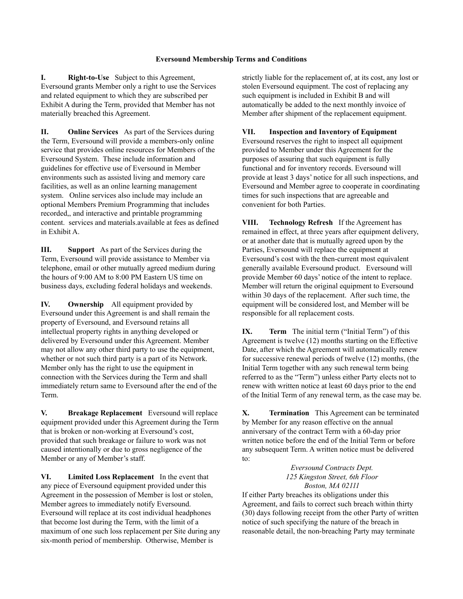## **Eversound Membership Terms and Conditions**

**I. Right-to-Use** Subject to this Agreement, Eversound grants Member only a right to use the Services and related equipment to which they are subscribed per Exhibit A during the Term, provided that Member has not materially breached this Agreement.

**II. Online Services** As part of the Services during the Term, Eversound will provide a members-only online service that provides online resources for Members of the Eversound System. These include information and guidelines for effective use of Eversound in Member environments such as assisted living and memory care facilities, as well as an online learning management system. Online services also include may include an optional Members Premium Programming that includes recorded,, and interactive and printable programming content. services and materials.available at fees as defined in Exhibit A.

**III. Support** As part of the Services during the Term, Eversound will provide assistance to Member via telephone, email or other mutually agreed medium during the hours of 9:00 AM to 8:00 PM Eastern US time on business days, excluding federal holidays and weekends.

**IV. Ownership** All equipment provided by Eversound under this Agreement is and shall remain the property of Eversound, and Eversound retains all intellectual property rights in anything developed or delivered by Eversound under this Agreement. Member may not allow any other third party to use the equipment, whether or not such third party is a part of its Network. Member only has the right to use the equipment in connection with the Services during the Term and shall immediately return same to Eversound after the end of the Term.

**V. Breakage Replacement** Eversound will replace equipment provided under this Agreement during the Term that is broken or non-working at Eversound's cost, provided that such breakage or failure to work was not caused intentionally or due to gross negligence of the Member or any of Member's staff.

**VI. Limited Loss Replacement** In the event that any piece of Eversound equipment provided under this Agreement in the possession of Member is lost or stolen, Member agrees to immediately notify Eversound. Eversound will replace at its cost individual headphones that become lost during the Term, with the limit of a maximum of one such loss replacement per Site during any six-month period of membership. Otherwise, Member is

strictly liable for the replacement of, at its cost, any lost or stolen Eversound equipment. The cost of replacing any such equipment is included in Exhibit B and will automatically be added to the next monthly invoice of Member after shipment of the replacement equipment.

## **VII. Inspection and Inventory of Equipment**

Eversound reserves the right to inspect all equipment provided to Member under this Agreement for the purposes of assuring that such equipment is fully functional and for inventory records. Eversound will provide at least 3 days' notice for all such inspections, and Eversound and Member agree to cooperate in coordinating times for such inspections that are agreeable and convenient for both Parties.

**VIII. Technology Refresh** If the Agreement has remained in effect, at three years after equipment delivery, or at another date that is mutually agreed upon by the Parties, Eversound will replace the equipment at Eversound's cost with the then-current most equivalent generally available Eversound product. Eversound will provide Member 60 days' notice of the intent to replace. Member will return the original equipment to Eversound within 30 days of the replacement. After such time, the equipment will be considered lost, and Member will be responsible for all replacement costs.

**IX. Term** The initial term ("Initial Term") of this Agreement is twelve (12) months starting on the Effective Date, after which the Agreement will automatically renew for successive renewal periods of twelve (12) months, (the Initial Term together with any such renewal term being referred to as the "Term") unless either Party elects not to renew with written notice at least 60 days prior to the end of the Initial Term of any renewal term, as the case may be.

**X. Termination** This Agreement can be terminated by Member for any reason effective on the annual anniversary of the contract Term with a 60-day prior written notice before the end of the Initial Term or before any subsequent Term. A written notice must be delivered to:

> *Eversound Contracts Dept. 125 Kingston Street, 6th Floor Boston, MA 02111*

If either Party breaches its obligations under this Agreement, and fails to correct such breach within thirty (30) days following receipt from the other Party of written notice of such specifying the nature of the breach in reasonable detail, the non-breaching Party may terminate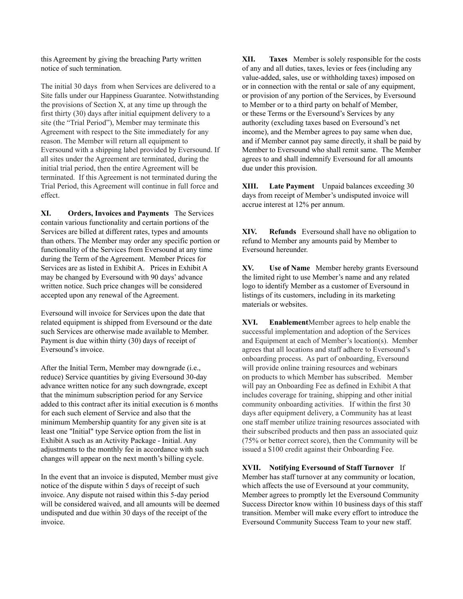this Agreement by giving the breaching Party written notice of such termination.

The initial 30 days from when Services are delivered to a Site falls under our Happiness Guarantee. Notwithstanding the provisions of Section  $X$ , at any time up through the first thirty (30) days after initial equipment delivery to a site (the "Trial Period"), Member may terminate this Agreement with respect to the Site immediately for any reason. The Member will return all equipment to Eversound with a shipping label provided by Eversound. If all sites under the Agreement are terminated, during the initial trial period, then the entire Agreement will be terminated. If this Agreement is not terminated during the Trial Period, this Agreement will continue in full force and effect.

**XI. Orders, Invoices and Payments** The Services contain various functionality and certain portions of the Services are billed at different rates, types and amounts than others. The Member may order any specific portion or functionality of the Services from Eversound at any time during the Term of the Agreement. Member Prices for Services are as listed in Exhibit A. Prices in Exhibit A may be changed by Eversound with 90 days' advance written notice. Such price changes will be considered accepted upon any renewal of the Agreement.

Eversound will invoice for Services upon the date that related equipment is shipped from Eversound or the date such Services are otherwise made available to Member. Payment is due within thirty (30) days of receipt of Eversound's invoice.

After the Initial Term, Member may downgrade (i.e., reduce) Service quantities by giving Eversound 30-day advance written notice for any such downgrade, except that the minimum subscription period for any Service added to this contract after its initial execution is 6 months for each such element of Service and also that the minimum Membership quantity for any given site is at least one "Initial" type Service option from the list in Exhibit A such as an Activity Package - Initial. Any adjustments to the monthly fee in accordance with such changes will appear on the next month's billing cycle.

In the event that an invoice is disputed, Member must give notice of the dispute within 5 days of receipt of such invoice. Any dispute not raised within this 5-day period will be considered waived, and all amounts will be deemed undisputed and due within 30 days of the receipt of the invoice.

**XII. Taxes** Member is solely responsible for the costs of any and all duties, taxes, levies or fees (including any value-added, sales, use or withholding taxes) imposed on or in connection with the rental or sale of any equipment, or provision of any portion of the Services, by Eversound to Member or to a third party on behalf of Member, or these Terms or the Eversound's Services by any authority (excluding taxes based on Eversound's net income), and the Member agrees to pay same when due, and if Member cannot pay same directly, it shall be paid by Member to Eversound who shall remit same. The Member agrees to and shall indemnify Eversound for all amounts due under this provision.

**XIII. Late Payment** Unpaid balances exceeding 30 days from receipt of Member's undisputed invoice will accrue interest at 12% per annum.

**XIV. Refunds** Eversound shall have no obligation to refund to Member any amounts paid by Member to Eversound hereunder.

**XV. Use of Name** Member hereby grants Eversound the limited right to use Member's name and any related logo to identify Member as a customer of Eversound in listings of its customers, including in its marketing materials or websites.

**XVI. Enablement**Member agrees to help enable the successful implementation and adoption of the Services and Equipment at each of Member's location(s). Member agrees that all locations and staff adhere to Eversound's onboarding process. As part of onboarding, Eversound will provide online training resources and webinars on products to which Member has subscribed. Member will pay an Onboarding Fee as defined in Exhibit A that includes coverage for training, shipping and other initial community onboarding activities. If within the first 30 days after equipment delivery, a Community has at least one staff member utilize training resources associated with their subscribed products and then pass an associated quiz (75% or better correct score), then the Community will be issued a \$100 credit against their Onboarding Fee.

**XVII. Notifying Eversound of Staff Turnover** If Member has staff turnover at any community or location, which affects the use of Eversound at your community, Member agrees to promptly let the Eversound Community Success Director know within 10 business days of this staff transition. Member will make every effort to introduce the Eversound Community Success Team to your new staff.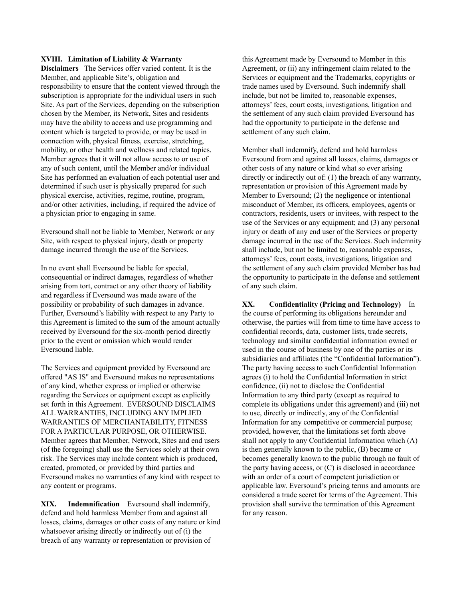## **XVIII. Limitation of Liability & Warranty**

**Disclaimers** The Services offer varied content. It is the Member, and applicable Site's, obligation and responsibility to ensure that the content viewed through the subscription is appropriate for the individual users in such Site. As part of the Services, depending on the subscription chosen by the Member, its Network, Sites and residents may have the ability to access and use programming and content which is targeted to provide, or may be used in connection with, physical fitness, exercise, stretching, mobility, or other health and wellness and related topics. Member agrees that it will not allow access to or use of any of such content, until the Member and/or individual Site has performed an evaluation of each potential user and determined if such user is physically prepared for such physical exercise, activities, regime, routine, program, and/or other activities, including, if required the advice of a physician prior to engaging in same.

Eversound shall not be liable to Member, Network or any Site, with respect to physical injury, death or property damage incurred through the use of the Services.

In no event shall Eversound be liable for special, consequential or indirect damages, regardless of whether arising from tort, contract or any other theory of liability and regardless if Eversound was made aware of the possibility or probability of such damages in advance. Further, Eversound's liability with respect to any Party to this Agreement is limited to the sum of the amount actually received by Eversound for the six-month period directly prior to the event or omission which would render Eversound liable.

The Services and equipment provided by Eversound are offered "AS IS" and Eversound makes no representations of any kind, whether express or implied or otherwise regarding the Services or equipment except as explicitly set forth in this Agreement. EVERSOUND DISCLAIMS ALL WARRANTIES, INCLUDING ANY IMPLIED WARRANTIES OF MERCHANTABILITY, FITNESS FOR A PARTICULAR PURPOSE, OR OTHERWISE. Member agrees that Member, Network, Sites and end users (of the foregoing) shall use the Services solely at their own risk. The Services may include content which is produced, created, promoted, or provided by third parties and Eversound makes no warranties of any kind with respect to any content or programs.

**XIX. Indemnification** Eversound shall indemnify, defend and hold harmless Member from and against all losses, claims, damages or other costs of any nature or kind whatsoever arising directly or indirectly out of (i) the breach of any warranty or representation or provision of

this Agreement made by Eversound to Member in this Agreement, or (ii) any infringement claim related to the Services or equipment and the Trademarks, copyrights or trade names used by Eversound. Such indemnify shall include, but not be limited to, reasonable expenses, attorneys' fees, court costs, investigations, litigation and the settlement of any such claim provided Eversound has had the opportunity to participate in the defense and settlement of any such claim.

Member shall indemnify, defend and hold harmless Eversound from and against all losses, claims, damages or other costs of any nature or kind what so ever arising directly or indirectly out of: (1) the breach of any warranty, representation or provision of this Agreement made by Member to Eversound; (2) the negligence or intentional misconduct of Member, its officers, employees, agents or contractors, residents, users or invitees, with respect to the use of the Services or any equipment; and (3) any personal injury or death of any end user of the Services or property damage incurred in the use of the Services. Such indemnity shall include, but not be limited to, reasonable expenses, attorneys' fees, court costs, investigations, litigation and the settlement of any such claim provided Member has had the opportunity to participate in the defense and settlement of any such claim.

**XX. Confidentiality (Pricing and Technology)** In the course of performing its obligations hereunder and otherwise, the parties will from time to time have access to confidential records, data, customer lists, trade secrets, technology and similar confidential information owned or used in the course of business by one of the parties or its subsidiaries and affiliates (the "Confidential Information"). The party having access to such Confidential Information agrees (i) to hold the Confidential Information in strict confidence, (ii) not to disclose the Confidential Information to any third party (except as required to complete its obligations under this agreement) and (iii) not to use, directly or indirectly, any of the Confidential Information for any competitive or commercial purpose; provided, however, that the limitations set forth above shall not apply to any Confidential Information which (A) is then generally known to the public, (B) became or becomes generally known to the public through no fault of the party having access, or (C) is disclosed in accordance with an order of a court of competent jurisdiction or applicable law. Eversound's pricing terms and amounts are considered a trade secret for terms of the Agreement. This provision shall survive the termination of this Agreement for any reason.